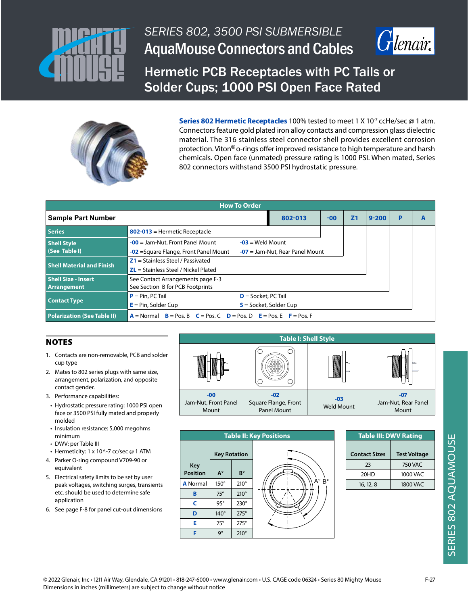



Hermetic PCB Receptacles with PC Tails or Solder Cups; 1000 PSI Open Face Rated



**Series 802 Hermetic Receptacles** 100% tested to meet 1 X 10<sup>-7</sup> ccHe/sec @ 1 atm. Connectors feature gold plated iron alloy contacts and compression glass dielectric material. The 316 stainless steel connector shell provides excellent corrosion protection. Viton<sup>®</sup> o-rings offer improved resistance to high temperature and harsh chemicals. Open face (unmated) pressure rating is 1000 PSI. When mated, Series 802 connectors withstand 3500 PSI hydrostatic pressure.

| <b>How To Order</b>                       |                                                                                                                                                |       |                |           |   |   |  |  |
|-------------------------------------------|------------------------------------------------------------------------------------------------------------------------------------------------|-------|----------------|-----------|---|---|--|--|
| <b>Sample Part Number</b>                 | 802-013                                                                                                                                        | $-00$ | Z <sub>1</sub> | $9 - 200$ | P | A |  |  |
| <b>Series</b>                             | $802-013$ = Hermetic Receptacle                                                                                                                |       |                |           |   |   |  |  |
| <b>Shell Style</b><br>(See Table I)       | $-03$ = Weld Mount<br>$-00$ = Jam-Nut, Front Panel Mount<br><b>-02</b> = Square Flange, Front Panel Mount<br>$-07$ = Jam-Nut, Rear Panel Mount |       |                |           |   |   |  |  |
| <b>Shell Material and Finish</b>          | $Z1 =$ Stainless Steel / Passivated<br>$ZL$ = Stainless Steel / Nickel Plated                                                                  |       |                |           |   |   |  |  |
| <b>Shell Size - Insert</b><br>Arrangement | See Contact Arrangements page F-3<br>See Section B for PCB Footprints                                                                          |       |                |           |   |   |  |  |
| <b>Contact Type</b>                       | $D =$ Socket, PC Tail<br>$P = Pin, PC Tail$<br>$E = Pin$ , Solder Cup<br>$S =$ Socket, Solder Cup                                              |       |                |           |   |   |  |  |
| <b>Polarization (See Table II)</b>        | $A = Normal$ $B = Pos. B$ $C = Pos. C$ $D = Pos. D$ $E = Pos. E$ $F = Pos. F$                                                                  |       |                |           |   |   |  |  |

# **NOTES**

- 1. Contacts are non-removable, PCB and solder cup type
- 2. Mates to 802 series plugs with same size, arrangement, polarization, and opposite contact gender.
- 3. Performance capabilities:
- Hydrostatic pressure rating: 1000 PSI open face or 3500 PSI fully mated and properly molded
- Insulation resistance: 5,000 megohms minimum
- DWV: per Table III
- Hermeticity: 1 x 10^-7 cc/sec  $@$  1 ATM 4. Parker O-ring compound V709-90 or equivalent
- 5. Electrical safety limits to be set by user peak voltages, switching surges, transients etc. should be used to determine safe application
- 6. See page F-8 for panel cut-out dimensions





| <b>Table III: DWV Rating</b> |  |  |  |  |
|------------------------------|--|--|--|--|
| <b>Test Voltage</b>          |  |  |  |  |
| 750 VAC                      |  |  |  |  |
| 1000 VAC                     |  |  |  |  |
| 1800 VAC                     |  |  |  |  |
|                              |  |  |  |  |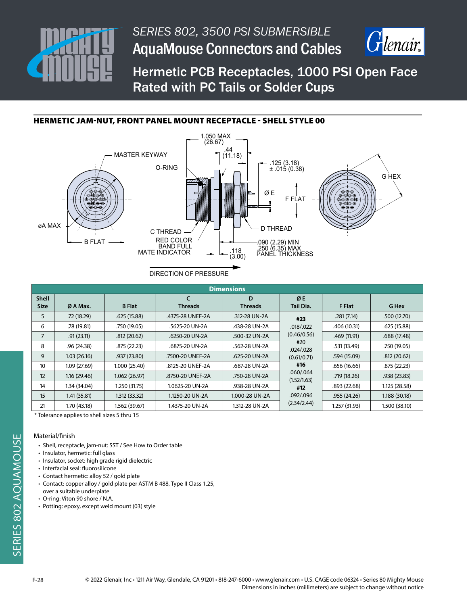



Hermetic PCB Receptacles, 1000 PSI Open Face Rated with PC Tails or Solder Cups

# HERMETIC JAM-NUT, FRONT PANEL MOUNT RECEPTACLE - SHELL STYLE 00



DIRECTION OF PRESSURE

| <b>Dimensions</b>           |              |               |                              |                     |                          |               |               |  |  |
|-----------------------------|--------------|---------------|------------------------------|---------------------|--------------------------|---------------|---------------|--|--|
| <b>Shell</b><br><b>Size</b> | Ø A Max.     | <b>B</b> Flat | $\epsilon$<br><b>Threads</b> | D<br><b>Threads</b> | ØE<br>Tail Dia.          | F Flat        | G Hex         |  |  |
|                             |              |               |                              |                     |                          |               |               |  |  |
| 5                           | .72(18.29)   | .625(15.88)   | .4375-28 UNEF-2A             | .312-28 UN-2A       | #23                      | .281(7.14)    | .500(12.70)   |  |  |
| 6                           | .78 (19.81)  | .750 (19.05)  | .5625-20 UN-2A               | .438-28 UN-2A       | .018/.022                | .406 (10.31)  | .625(15.88)   |  |  |
| $\overline{7}$              | .91(23.11)   | .812(20.62)   | .6250-20 UN-2A               | .500-32 UN-2A       | (0.46/0.56)              | .469(11.91)   | .688(17.48)   |  |  |
| 8                           | .96(24.38)   | .875 (22.23)  | .6875-20 UN-2A               | .562-28 UN-2A       | #20<br>.024/028          | .531 (13.49)  | .750 (19.05)  |  |  |
| 9                           | 1.03(26.16)  | .937(23.80)   | .7500-20 UNEF-2A             | .625-20 UN-2A       | (0.61/0.71)              | .594 (15.09)  | .812(20.62)   |  |  |
| 10                          | 1.09(27.69)  | 1.000 (25.40) | .8125-20 UNEF-2A             | .687-28 UN-2A       | #16                      | .656 (16.66)  | .875 (22.23)  |  |  |
| 12                          | 1.16(29.46)  | 1.062(26.97)  | .8750-20 UNEF-2A             | .750-28 UN-2A       | .060/.064<br>(1.52/1.63) | .719(18.26)   | .938(23.83)   |  |  |
| 14                          | 1.34 (34.04) | 1.250 (31.75) | 1.0625-20 UN-2A              | .938-28 UN-2A       | #12                      | .893(22.68)   | 1.125 (28.58) |  |  |
| 15                          | 1.41(35.81)  | 1.312 (33.32) | 1.1250-20 UN-2A              | 1.000-28 UN-2A      | .092/.096                | .955(24.26)   | 1.188 (30.18) |  |  |
| 21                          | 1.70 (43.18) | 1.562 (39.67) | 1.4375-20 UN-2A              | 1.312-28 UN-2A      | (2.34/2.44)              | 1.257 (31.93) | 1.500 (38.10) |  |  |

\* Tolerance applies to shell sizes 5 thru 15

#### Material/finish

- Shell, receptacle, jam-nut: SST / See How to Order table
- Insulator, hermetic: full glass
- Insulator, socket: high grade rigid dielectric
- Interfacial seal: fluorosilicone
- Contact hermetic: alloy 52 / gold plate
- Contact: copper alloy / gold plate per ASTM B 488, Type II Class 1.25,
- over a suitable underplate
- O-ring: Viton 90 shore / N.A.
- Potting: epoxy, except weld mount (03) style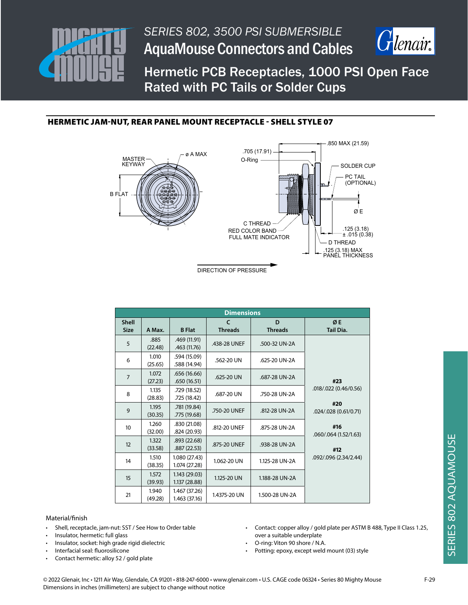



Hermetic PCB Receptacles, 1000 PSI Open Face Rated with PC Tails or Solder Cups

# HERMETIC JAM-NUT, REAR PANEL MOUNT RECEPTACLE - SHELL STYLE 07



DIRECTION OF PRESSURE

| <b>Dimensions</b>           |                  |                                |                                |                     |                              |  |
|-----------------------------|------------------|--------------------------------|--------------------------------|---------------------|------------------------------|--|
| <b>Shell</b><br><b>Size</b> | A Max.           | <b>B</b> Flat                  | $\mathsf{C}$<br><b>Threads</b> | D<br><b>Threads</b> | ØE<br><b>Tail Dia.</b>       |  |
| 5                           | .885<br>(22.48)  | .469 (11.91)<br>.463 (11.76)   | .438-28 UNEF                   | .500-32 UN-2A       |                              |  |
| 6                           | 1.010<br>(25.65) | .594 (15.09)<br>.588 (14.94)   | .562-20 UN                     | .625-20 UN-2A       |                              |  |
| $\overline{7}$              | 1.072<br>(27.23) | .656 (16.66)<br>.650(16.51)    | .625-20 UN                     | .687-28 UN-2A       | #23                          |  |
| 8                           | 1.135<br>(28.83) | .729 (18.52)<br>.725 (18.42)   | .687-20 UN                     | .750-28 UN-2A       | .018/.022 (0.46/0.56)        |  |
| 9                           | 1.195<br>(30.35) | .781 (19.84)<br>.775 (19.68)   | .750-20 UNEF                   | .812-28 UN-2A       | #20<br>.024/.028 (0.61/0.71) |  |
| 10 <sup>°</sup>             | 1.260<br>(32.00) | .830 (21.08)<br>.824 (20.93)   | .812-20 UNEF                   | .875-28 UN-2A       | #16<br>.060/.064 (1.52/1.63) |  |
| 12                          | 1.322<br>(33.58) | .893 (22.68)<br>.887 (22.53)   | .875-20 UNEF                   | .938-28 UN-2A       | #12                          |  |
| 14                          | 1.510<br>(38.35) | 1.080 (27.43)<br>1.074 (27.28) | 1.062-20 UN                    | 1.125-28 UN-2A      | .092/.096 (2.34/2.44)        |  |
| 15                          | 1.572<br>(39.93) | 1.143 (29.03)<br>1.137 (28.88) | 1.125-20 UN                    | 1.188-28 UN-2A      |                              |  |
| 21                          | 1.940<br>(49.28) | 1.467 (37.26)<br>1.463 (37.16) | 1.4375-20 UN                   | 1.500-28 UN-2A      |                              |  |

#### Material/finish

- Shell, receptacle, jam-nut: SST / See How to Order table
- Insulator, hermetic: full glass
- Insulator, socket: high grade rigid dielectric
- Interfacial seal: fluorosilicone
- Contact hermetic: alloy 52 / gold plate
- Contact: copper alloy / gold plate per ASTM B 488, Type II Class 1.25, over a suitable underplate
- O-ring: Viton 90 shore / N.A.
- Potting: epoxy, except weld mount (03) style

© 2022 Glenair, Inc • 1211 Air Way, Glendale, CA 91201 • 818-247-6000 • www.glenair.com • U.S. CAGE code 06324 • Series 80 Mighty Mouse F-29 Dimensions in inches (millimeters) are subject to change without notice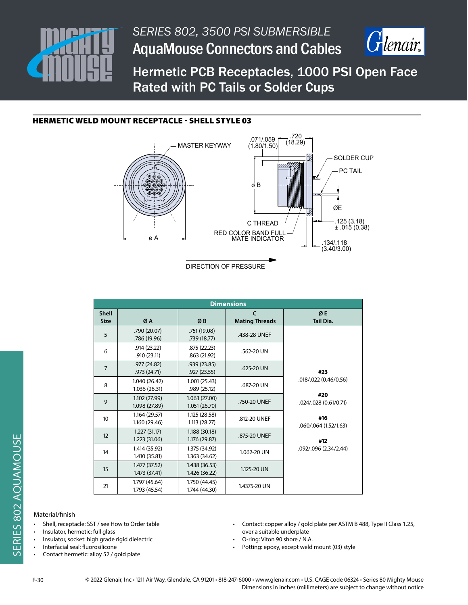



Hermetic PCB Receptacles, 1000 PSI Open Face Rated with PC Tails or Solder Cups

## HERMETIC WELD MOUNT RECEPTACLE - SHELL STYLE 03



DIRECTION OF PRESSURE

| <b>Dimensions</b>           |                                |                                |                                     |                              |  |  |  |
|-----------------------------|--------------------------------|--------------------------------|-------------------------------------|------------------------------|--|--|--|
| <b>Shell</b><br><b>Size</b> | ØA                             | ØB                             | $\epsilon$<br><b>Mating Threads</b> | ØE<br><b>Tail Dia.</b>       |  |  |  |
| 5                           | .790 (20.07)<br>.786 (19.96)   | .751 (19.08)<br>.739 (18.77)   | .438-28 UNEF                        |                              |  |  |  |
| 6                           | .914(23.22)<br>.910(23.11)     | .875 (22.23)<br>.863 (21.92)   | .562-20 UN                          |                              |  |  |  |
| $\overline{7}$              | .977(24.82)<br>.973 (24.71)    | .939(23.85)<br>.927(23.55)     | .625-20 UN                          | #23                          |  |  |  |
| 8                           | 1.040 (26.42)<br>1.036 (26.31) | 1.001(25.43)<br>.989 (25.12)   | .687-20 UN                          | .018/.022 (0.46/0.56)        |  |  |  |
| 9                           | 1.102 (27.99)<br>1.098 (27.89) | 1.063 (27.00)<br>1.051(26.70)  | .750-20 UNEF                        | #20<br>.024/.028 (0.61/0.71) |  |  |  |
| 10                          | 1.164(29.57)<br>1.160 (29.46)  | 1.125 (28.58)<br>1.113 (28.27) | .812-20 UNEF                        | #16<br>.060/.064 (1.52/1.63) |  |  |  |
| 12                          | 1.227(31.17)<br>1.223 (31.06)  | 1.188 (30.18)<br>1.176 (29.87) | .875-20 UNEF                        | #12                          |  |  |  |
| 14                          | 1.414 (35.92)<br>1.410 (35.81) | 1.375 (34.92)<br>1.363 (34.62) | 1.062-20 UN                         | .092/.096 (2.34/2.44)        |  |  |  |
| 15                          | 1.477 (37.52)<br>1.473 (37.41) | 1.438 (36.53)<br>1.426 (36.22) | 1.125-20 UN                         |                              |  |  |  |
| 21                          | 1.797 (45.64)<br>1.793 (45.54) | 1.750 (44.45)<br>1.744 (44.30) | 1.4375-20 UN                        |                              |  |  |  |

### Material/finish

- Shell, receptacle: SST / see How to Order table
- Insulator, hermetic: full glass
- Insulator, socket: high grade rigid dielectric
- Interfacial seal: fluorosilicone
- Contact hermetic: alloy 52 / gold plate
- Contact: copper alloy / gold plate per ASTM B 488, Type II Class 1.25, over a suitable underplate
- O-ring: Viton 90 shore / N.A.
- Potting: epoxy, except weld mount (03) style
- © 2022 Glenair, Inc 1211 Air Way, Glendale, CA 91201 818-247-6000 www.glenair.com U.S. CAGE code 06324 Series 80 Mighty Mouse Dimensions in inches (millimeters) are subject to change without notice